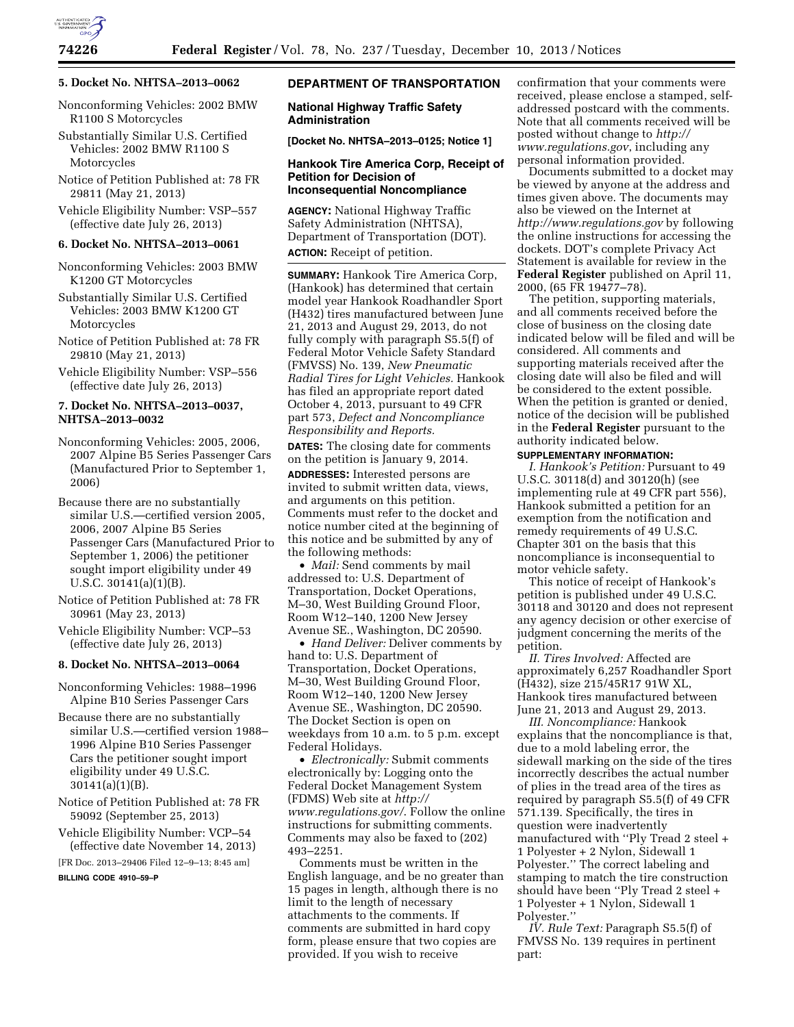

#### **5. Docket No. NHTSA–2013–0062**

Nonconforming Vehicles: 2002 BMW R1100 S Motorcycles

- Substantially Similar U.S. Certified Vehicles: 2002 BMW R1100 S Motorcycles
- Notice of Petition Published at: 78 FR 29811 (May 21, 2013)
- Vehicle Eligibility Number: VSP–557 (effective date July 26, 2013)

#### **6. Docket No. NHTSA–2013–0061**

- Nonconforming Vehicles: 2003 BMW K1200 GT Motorcycles
- Substantially Similar U.S. Certified Vehicles: 2003 BMW K1200 GT Motorcycles
- Notice of Petition Published at: 78 FR 29810 (May 21, 2013)
- Vehicle Eligibility Number: VSP–556 (effective date July 26, 2013)

## **7. Docket No. NHTSA–2013–0037, NHTSA–2013–0032**

Nonconforming Vehicles: 2005, 2006, 2007 Alpine B5 Series Passenger Cars (Manufactured Prior to September 1, 2006)

- Because there are no substantially similar U.S.—certified version 2005, 2006, 2007 Alpine B5 Series Passenger Cars (Manufactured Prior to September 1, 2006) the petitioner sought import eligibility under 49 U.S.C. 30141(a)(1)(B).
- Notice of Petition Published at: 78 FR 30961 (May 23, 2013)
- Vehicle Eligibility Number: VCP–53 (effective date July 26, 2013)

#### **8. Docket No. NHTSA–2013–0064**

Nonconforming Vehicles: 1988–1996 Alpine B10 Series Passenger Cars

Because there are no substantially similar U.S.—certified version 1988– 1996 Alpine B10 Series Passenger Cars the petitioner sought import eligibility under 49 U.S.C. 30141(a)(1)(B).

Notice of Petition Published at: 78 FR 59092 (September 25, 2013)

Vehicle Eligibility Number: VCP–54 (effective date November 14, 2013)

[FR Doc. 2013–29406 Filed 12–9–13; 8:45 am]

**BILLING CODE 4910–59–P** 

## **DEPARTMENT OF TRANSPORTATION**

### **National Highway Traffic Safety Administration**

**[Docket No. NHTSA–2013–0125; Notice 1]** 

## **Hankook Tire America Corp, Receipt of Petition for Decision of Inconsequential Noncompliance**

**AGENCY:** National Highway Traffic Safety Administration (NHTSA), Department of Transportation (DOT). **ACTION:** Receipt of petition.

**SUMMARY:** Hankook Tire America Corp, (Hankook) has determined that certain model year Hankook Roadhandler Sport (H432) tires manufactured between June 21, 2013 and August 29, 2013, do not fully comply with paragraph S5.5(f) of Federal Motor Vehicle Safety Standard (FMVSS) No. 139, *New Pneumatic Radial Tires for Light Vehicles.* Hankook has filed an appropriate report dated October 4, 2013, pursuant to 49 CFR part 573, *Defect and Noncompliance Responsibility and Reports.* 

**DATES:** The closing date for comments on the petition is January 9, 2014.

**ADDRESSES:** Interested persons are invited to submit written data, views, and arguments on this petition. Comments must refer to the docket and notice number cited at the beginning of this notice and be submitted by any of the following methods:

• *Mail:* Send comments by mail addressed to: U.S. Department of Transportation, Docket Operations, M–30, West Building Ground Floor, Room W12–140, 1200 New Jersey Avenue SE., Washington, DC 20590.

• *Hand Deliver:* Deliver comments by hand to: U.S. Department of Transportation, Docket Operations, M–30, West Building Ground Floor, Room W12–140, 1200 New Jersey Avenue SE., Washington, DC 20590. The Docket Section is open on weekdays from 10 a.m. to 5 p.m. except Federal Holidays.

• *Electronically:* Submit comments electronically by: Logging onto the Federal Docket Management System (FDMS) Web site at *[http://](http://www.regulations.gov/)  [www.regulations.gov/](http://www.regulations.gov/)*. Follow the online instructions for submitting comments. Comments may also be faxed to (202) 493–2251.

Comments must be written in the English language, and be no greater than 15 pages in length, although there is no limit to the length of necessary attachments to the comments. If comments are submitted in hard copy form, please ensure that two copies are provided. If you wish to receive

confirmation that your comments were received, please enclose a stamped, selfaddressed postcard with the comments. Note that all comments received will be posted without change to *[http://](http://www.regulations.gov) [www.regulations.gov](http://www.regulations.gov)*, including any personal information provided.

Documents submitted to a docket may be viewed by anyone at the address and times given above. The documents may also be viewed on the Internet at *<http://www.regulations.gov>* by following the online instructions for accessing the dockets. DOT's complete Privacy Act Statement is available for review in the **Federal Register** published on April 11, 2000, (65 FR 19477–78).

The petition, supporting materials, and all comments received before the close of business on the closing date indicated below will be filed and will be considered. All comments and supporting materials received after the closing date will also be filed and will be considered to the extent possible. When the petition is granted or denied, notice of the decision will be published in the **Federal Register** pursuant to the authority indicated below.

# **SUPPLEMENTARY INFORMATION:**

*I. Hankook's Petition:* Pursuant to 49 U.S.C. 30118(d) and 30120(h) (see implementing rule at 49 CFR part 556), Hankook submitted a petition for an exemption from the notification and remedy requirements of 49 U.S.C. Chapter 301 on the basis that this noncompliance is inconsequential to motor vehicle safety.

This notice of receipt of Hankook's petition is published under 49 U.S.C. 30118 and 30120 and does not represent any agency decision or other exercise of judgment concerning the merits of the petition.

*II. Tires Involved:* Affected are approximately 6,257 Roadhandler Sport (H432), size 215/45R17 91W XL, Hankook tires manufactured between June 21, 2013 and August 29, 2013.

*III. Noncompliance:* Hankook explains that the noncompliance is that, due to a mold labeling error, the sidewall marking on the side of the tires incorrectly describes the actual number of plies in the tread area of the tires as required by paragraph S5.5(f) of 49 CFR 571.139. Specifically, the tires in question were inadvertently manufactured with ''Ply Tread 2 steel + 1 Polyester + 2 Nylon, Sidewall 1 Polyester.'' The correct labeling and stamping to match the tire construction should have been ''Ply Tread 2 steel + 1 Polyester + 1 Nylon, Sidewall 1 Polyester.''

*IV. Rule Text:* Paragraph S5.5(f) of FMVSS No. 139 requires in pertinent part: